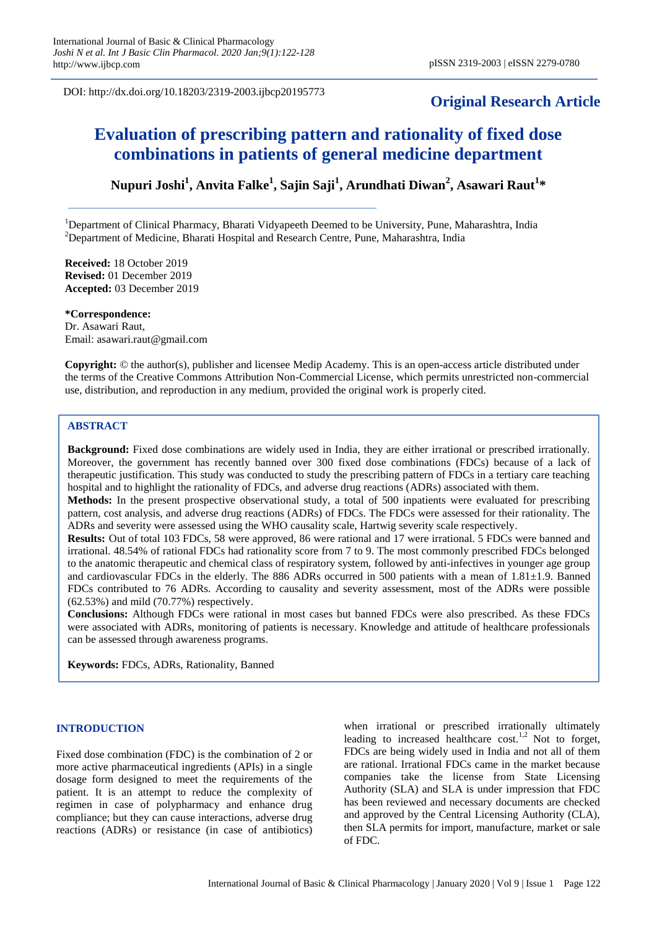DOI: http://dx.doi.org/10.18203/2319-2003.ijbcp20195773

## **Original Research Article**

# **Evaluation of prescribing pattern and rationality of fixed dose combinations in patients of general medicine department**

**Nupuri Joshi<sup>1</sup> , Anvita Falke<sup>1</sup> , Sajin Saji<sup>1</sup> , Arundhati Diwan<sup>2</sup> , Asawari Raut<sup>1</sup> \***

<sup>1</sup>Department of Clinical Pharmacy, Bharati Vidyapeeth Deemed to be University, Pune, Maharashtra, India  $2$ Department of Medicine, Bharati Hospital and Research Centre, Pune, Maharashtra, India

**Received:** 18 October 2019 **Revised:** 01 December 2019 **Accepted:** 03 December 2019

**\*Correspondence:** Dr. Asawari Raut, Email: asawari.raut@gmail.com

**Copyright:** © the author(s), publisher and licensee Medip Academy. This is an open-access article distributed under the terms of the Creative Commons Attribution Non-Commercial License, which permits unrestricted non-commercial use, distribution, and reproduction in any medium, provided the original work is properly cited.

#### **ABSTRACT**

**Background:** Fixed dose combinations are widely used in India, they are either irrational or prescribed irrationally. Moreover, the government has recently banned over 300 fixed dose combinations (FDCs) because of a lack of therapeutic justification. This study was conducted to study the prescribing pattern of FDCs in a tertiary care teaching hospital and to highlight the rationality of FDCs, and adverse drug reactions (ADRs) associated with them.

**Methods:** In the present prospective observational study, a total of 500 inpatients were evaluated for prescribing pattern, cost analysis, and adverse drug reactions (ADRs) of FDCs. The FDCs were assessed for their rationality. The ADRs and severity were assessed using the WHO causality scale, Hartwig severity scale respectively.

**Results:** Out of total 103 FDCs, 58 were approved, 86 were rational and 17 were irrational. 5 FDCs were banned and irrational. 48.54% of rational FDCs had rationality score from 7 to 9. The most commonly prescribed FDCs belonged to the anatomic therapeutic and chemical class of respiratory system, followed by anti-infectives in younger age group and cardiovascular FDCs in the elderly. The 886 ADRs occurred in 500 patients with a mean of 1.81±1.9. Banned FDCs contributed to 76 ADRs. According to causality and severity assessment, most of the ADRs were possible (62.53%) and mild (70.77%) respectively.

**Conclusions:** Although FDCs were rational in most cases but banned FDCs were also prescribed. As these FDCs were associated with ADRs, monitoring of patients is necessary. Knowledge and attitude of healthcare professionals can be assessed through awareness programs.

**Keywords:** FDCs, ADRs, Rationality, Banned

#### **INTRODUCTION**

Fixed dose combination (FDC) is the combination of 2 or more active pharmaceutical ingredients (APIs) in a single dosage form designed to meet the requirements of the patient. It is an attempt to reduce the complexity of regimen in case of polypharmacy and enhance drug compliance; but they can cause interactions, adverse drug reactions (ADRs) or resistance (in case of antibiotics) when irrational or prescribed irrationally ultimately leading to increased healthcare  $\cosh^{1,2}$  Not to forget, FDCs are being widely used in India and not all of them are rational. Irrational FDCs came in the market because companies take the license from State Licensing Authority (SLA) and SLA is under impression that FDC has been reviewed and necessary documents are checked and approved by the Central Licensing Authority (CLA), then SLA permits for import, manufacture, market or sale of FDC.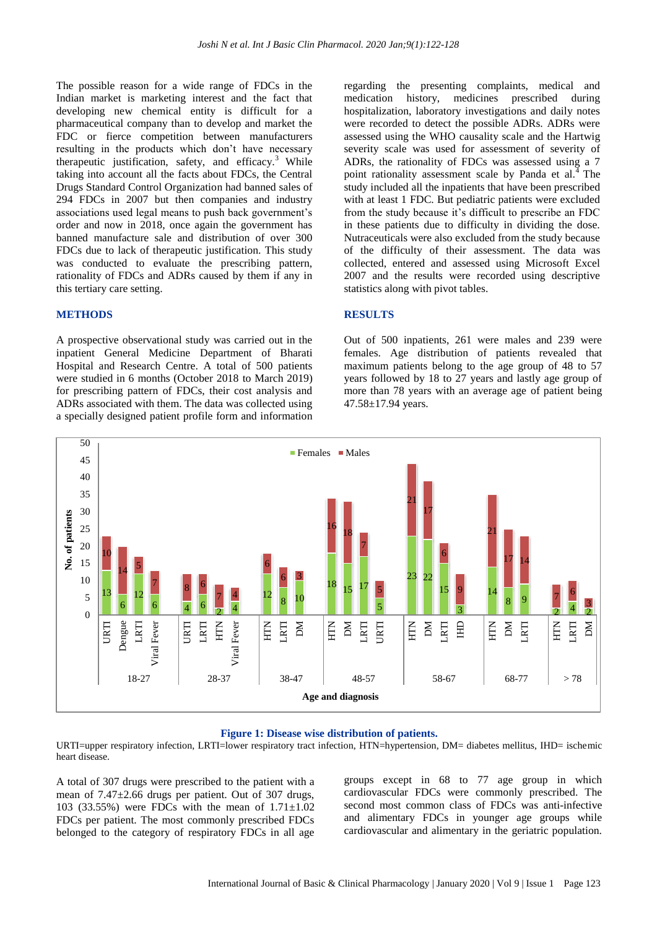The possible reason for a wide range of FDCs in the Indian market is marketing interest and the fact that developing new chemical entity is difficult for a pharmaceutical company than to develop and market the FDC or fierce competition between manufacturers resulting in the products which don't have necessary therapeutic justification, safety, and efficacy. $3$  While taking into account all the facts about FDCs, the Central Drugs Standard Control Organization had banned sales of 294 FDCs in 2007 but then companies and industry associations used legal means to push back government's order and now in 2018, once again the government has banned manufacture sale and distribution of over 300 FDCs due to lack of therapeutic justification. This study was conducted to evaluate the prescribing pattern, rationality of FDCs and ADRs caused by them if any in this tertiary care setting.

#### **METHODS**

A prospective observational study was carried out in the inpatient General Medicine Department of Bharati Hospital and Research Centre. A total of 500 patients were studied in 6 months (October 2018 to March 2019) for prescribing pattern of FDCs, their cost analysis and ADRs associated with them. The data was collected using a specially designed patient profile form and information regarding the presenting complaints, medical and medication history, medicines prescribed during hospitalization, laboratory investigations and daily notes were recorded to detect the possible ADRs. ADRs were assessed using the WHO causality scale and the Hartwig severity scale was used for assessment of severity of ADRs, the rationality of FDCs was assessed using a 7 point rationality assessment scale by Panda et al. $4$ The study included all the inpatients that have been prescribed with at least 1 FDC. But pediatric patients were excluded from the study because it's difficult to prescribe an FDC in these patients due to difficulty in dividing the dose. Nutraceuticals were also excluded from the study because of the difficulty of their assessment. The data was collected, entered and assessed using Microsoft Excel 2007 and the results were recorded using descriptive statistics along with pivot tables.

#### **RESULTS**

Out of 500 inpatients, 261 were males and 239 were females. Age distribution of patients revealed that maximum patients belong to the age group of 48 to 57 years followed by 18 to 27 years and lastly age group of more than 78 years with an average age of patient being 47.58±17.94 years.



#### **Figure 1: Disease wise distribution of patients.**

URTI=upper respiratory infection, LRTI=lower respiratory tract infection, HTN=hypertension, DM= diabetes mellitus, IHD= ischemic heart disease.

A total of 307 drugs were prescribed to the patient with a mean of 7.47±2.66 drugs per patient. Out of 307 drugs, 103 (33.55%) were FDCs with the mean of  $1.71 \pm 1.02$ FDCs per patient. The most commonly prescribed FDCs belonged to the category of respiratory FDCs in all age

groups except in 68 to 77 age group in which cardiovascular FDCs were commonly prescribed. The second most common class of FDCs was anti-infective and alimentary FDCs in younger age groups while cardiovascular and alimentary in the geriatric population.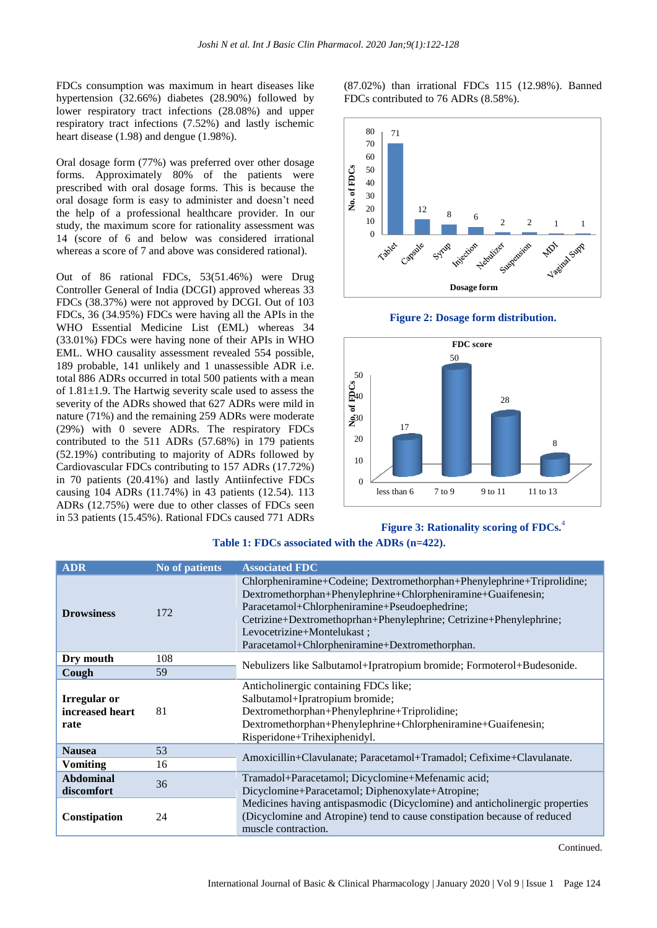FDCs consumption was maximum in heart diseases like hypertension (32.66%) diabetes (28.90%) followed by lower respiratory tract infections (28.08%) and upper respiratory tract infections (7.52%) and lastly ischemic heart disease (1.98) and dengue (1.98%).

Oral dosage form (77%) was preferred over other dosage forms. Approximately 80% of the patients were prescribed with oral dosage forms. This is because the oral dosage form is easy to administer and doesn't need the help of a professional healthcare provider. In our study, the maximum score for rationality assessment was 14 (score of 6 and below was considered irrational whereas a score of 7 and above was considered rational).

Out of 86 rational FDCs, 53(51.46%) were Drug Controller General of India (DCGI) approved whereas 33 FDCs (38.37%) were not approved by DCGI. Out of 103 FDCs, 36 (34.95%) FDCs were having all the APIs in the WHO Essential Medicine List (EML) whereas 34 (33.01%) FDCs were having none of their APIs in WHO EML. WHO causality assessment revealed 554 possible, 189 probable, 141 unlikely and 1 unassessible ADR i.e. total 886 ADRs occurred in total 500 patients with a mean of 1.81±1.9. The Hartwig severity scale used to assess the severity of the ADRs showed that 627 ADRs were mild in nature (71%) and the remaining 259 ADRs were moderate (29%) with 0 severe ADRs. The respiratory FDCs contributed to the 511 ADRs (57.68%) in 179 patients (52.19%) contributing to majority of ADRs followed by Cardiovascular FDCs contributing to 157 ADRs (17.72%) in 70 patients (20.41%) and lastly Antiinfective FDCs causing 104 ADRs (11.74%) in 43 patients (12.54). 113 ADRs (12.75%) were due to other classes of FDCs seen in 53 patients (15.45%). Rational FDCs caused 771 ADRs

(87.02%) than irrational FDCs 115 (12.98%). Banned FDCs contributed to 76 ADRs (8.58%).







#### **Figure 3: Rationality scoring of FDCs.**<sup>4</sup>

| <b>ADR</b>                                     | No of patients | <b>Associated FDC</b>                                                                                                                                                                                                                                                                                                                         |  |
|------------------------------------------------|----------------|-----------------------------------------------------------------------------------------------------------------------------------------------------------------------------------------------------------------------------------------------------------------------------------------------------------------------------------------------|--|
| <b>Drowsiness</b>                              | 172            | Chlorpheniramine+Codeine; Dextromethorphan+Phenylephrine+Triprolidine;<br>Dextromethorphan+Phenylephrine+Chlorpheniramine+Guaifenesin;<br>Paracetamol+Chlorpheniramine+Pseudoephedrine;<br>Cetrizine+Dextromethoprhan+Phenylephrine; Cetrizine+Phenylephrine;<br>Levocetrizine+Montelukast;<br>Paracetamol+Chlorpheniramine+Dextromethorphan. |  |
| Dry mouth                                      | 108            | Nebulizers like Salbutamol+Ipratropium bromide; Formoterol+Budesonide.                                                                                                                                                                                                                                                                        |  |
| Cough                                          | 59             |                                                                                                                                                                                                                                                                                                                                               |  |
| <b>Irregular or</b><br>increased heart<br>rate | 81             | Anticholinergic containing FDCs like;<br>Salbutamol+Ipratropium bromide;<br>Dextromethorphan+Phenylephrine+Triprolidine;<br>Dextromethorphan+Phenylephrine+Chlorpheniramine+Guaifenesin;<br>Risperidone+Trihexiphenidyl.                                                                                                                      |  |
| <b>Nausea</b>                                  | 53             | Amoxicillin+Clavulanate: Paracetamol+Tramadol: Cefixime+Clavulanate.                                                                                                                                                                                                                                                                          |  |
| <b>Vomiting</b>                                | 16             |                                                                                                                                                                                                                                                                                                                                               |  |
| <b>Abdominal</b><br>discomfort                 | 36             | Tramadol+Paracetamol; Dicyclomine+Mefenamic acid;<br>Dicyclomine+Paracetamol; Diphenoxylate+Atropine;                                                                                                                                                                                                                                         |  |
| Constipation                                   | 24             | Medicines having antispasmodic (Dicyclomine) and anticholinergic properties<br>(Dicyclomine and Atropine) tend to cause constipation because of reduced<br>muscle contraction.                                                                                                                                                                |  |

**Table 1: FDCs associated with the ADRs (n=422).**

Continued.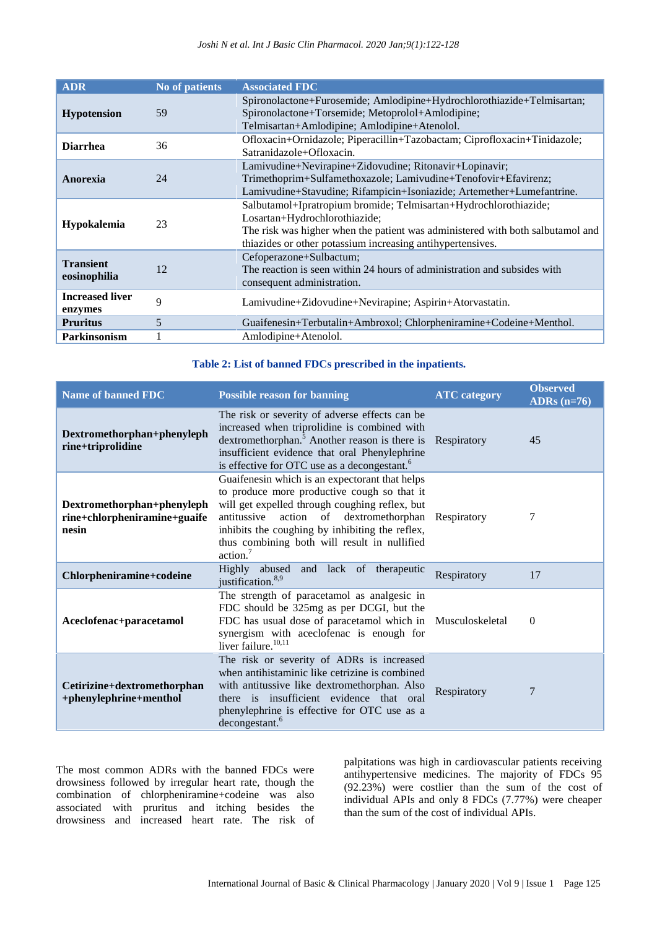*Joshi N et al. Int J Basic Clin Pharmacol. 2020 Jan;9(1):122-128*

| <b>ADR</b>                        | No of patients | <b>Associated FDC</b>                                                                                                                                                                                                                             |  |
|-----------------------------------|----------------|---------------------------------------------------------------------------------------------------------------------------------------------------------------------------------------------------------------------------------------------------|--|
| <b>Hypotension</b>                | 59             | Spironolactone+Furosemide; Amlodipine+Hydrochlorothiazide+Telmisartan;<br>Spironolactone+Torsemide; Metoprolol+Amlodipine;<br>Telmisartan+Amlodipine; Amlodipine+Atenolol.                                                                        |  |
| <b>Diarrhea</b>                   | 36             | Ofloxacin+Ornidazole; Piperacillin+Tazobactam; Ciprofloxacin+Tinidazole;<br>Satranidazole+Ofloxacin.                                                                                                                                              |  |
| Anorexia                          | 24             | Lamivudine+Nevirapine+Zidovudine; Ritonavir+Lopinavir;<br>Trimethoprim+Sulfamethoxazole; Lamivudine+Tenofovir+Efavirenz;<br>Lamivudine+Stavudine; Rifampicin+Isoniazide; Artemether+Lumefantrine.                                                 |  |
| <b>Hypokalemia</b>                | 23             | Salbutamol+Ipratropium bromide; Telmisartan+Hydrochlorothiazide;<br>Losartan+Hydrochlorothiazide;<br>The risk was higher when the patient was administered with both salbutamol and<br>thiazides or other potassium increasing antihypertensives. |  |
| <b>Transient</b><br>eosinophilia  | 12             | Cefoperazone+Sulbactum;<br>The reaction is seen within 24 hours of administration and subsides with<br>consequent administration.                                                                                                                 |  |
| <b>Increased liver</b><br>enzymes | 9              | Lamivudine+Zidovudine+Nevirapine; Aspirin+Atorvastatin.                                                                                                                                                                                           |  |
| <b>Pruritus</b>                   | 5              | Guaifenesin+Terbutalin+Ambroxol; Chlorpheniramine+Codeine+Menthol.                                                                                                                                                                                |  |
| <b>Parkinsonism</b>               |                | Amlodipine+Atenolol.                                                                                                                                                                                                                              |  |

#### **Table 2: List of banned FDCs prescribed in the inpatients.**

| <b>Name of banned FDC</b>                                           | <b>Possible reason for banning</b>                                                                                                                                                                                                                                                                                     | <b>ATC</b> category | <b>Observed</b><br>ADRs $(n=76)$ |
|---------------------------------------------------------------------|------------------------------------------------------------------------------------------------------------------------------------------------------------------------------------------------------------------------------------------------------------------------------------------------------------------------|---------------------|----------------------------------|
| Dextromethorphan+phenyleph<br>rine+triprolidine                     | The risk or severity of adverse effects can be<br>increased when triprolidine is combined with<br>dextromethorphan. <sup>5</sup> Another reason is there is<br>insufficient evidence that oral Phenylephrine<br>is effective for OTC use as a decongestant. <sup>6</sup>                                               | Respiratory         | 45                               |
| Dextromethorphan+phenyleph<br>rine+chlorpheniramine+guaife<br>nesin | Guaifenesin which is an expectorant that helps<br>to produce more productive cough so that it<br>will get expelled through coughing reflex, but<br>antitussive action of dextromethorphan<br>inhibits the coughing by inhibiting the reflex,<br>thus combining both will result in nullified<br>$\arctan$ <sup>7</sup> | Respiratory         | 7                                |
| Chlorpheniramine+codeine                                            | Highly abused and lack of therapeutic<br>justification. <sup>8,9</sup>                                                                                                                                                                                                                                                 | Respiratory         | 17                               |
| Aceclofenac+paracetamol                                             | The strength of paracetamol as analgesic in<br>FDC should be 325mg as per DCGI, but the<br>FDC has usual dose of paracetamol which in<br>synergism with aceclofenac is enough for<br>liver failure. <sup>10,11</sup>                                                                                                   | Musculoskeletal     | $\Omega$                         |
| Cetirizine+dextromethorphan<br>+phenylephrine+menthol               | The risk or severity of ADRs is increased<br>when antihistaminic like cetrizine is combined<br>with antitussive like dextromethorphan. Also<br>there is insufficient evidence that oral<br>phenylephrine is effective for OTC use as a<br>decongestant. <sup>6</sup>                                                   | Respiratory         | 7                                |

The most common ADRs with the banned FDCs were drowsiness followed by irregular heart rate, though the combination of chlorpheniramine+codeine was also associated with pruritus and itching besides the drowsiness and increased heart rate. The risk of

palpitations was high in cardiovascular patients receiving antihypertensive medicines. The majority of FDCs 95 (92.23%) were costlier than the sum of the cost of individual APIs and only 8 FDCs (7.77%) were cheaper than the sum of the cost of individual APIs.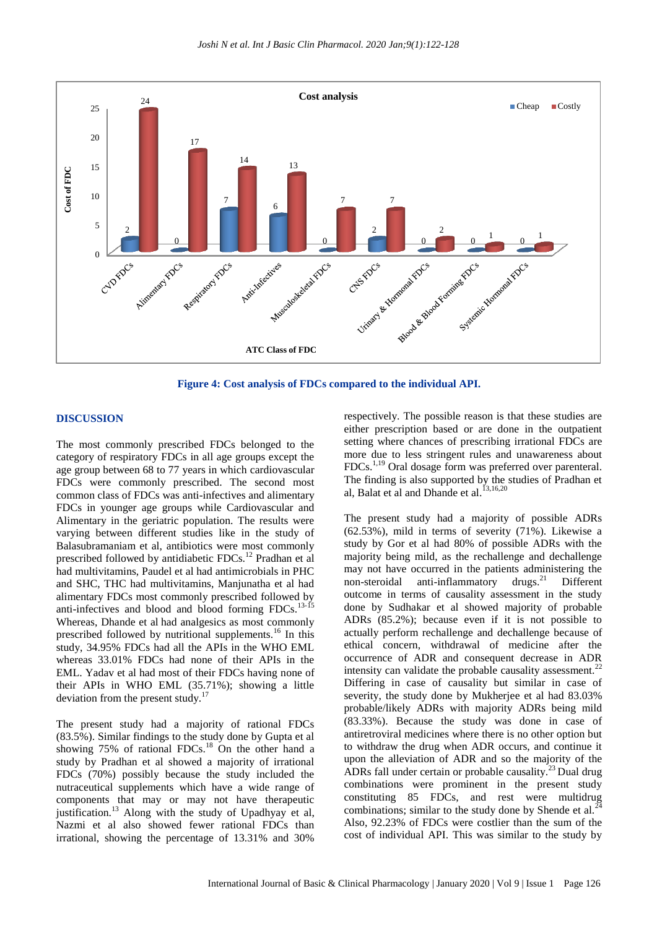

**Figure 4: Cost analysis of FDCs compared to the individual API.**

#### **DISCUSSION**

The most commonly prescribed FDCs belonged to the category of respiratory FDCs in all age groups except the age group between 68 to 77 years in which cardiovascular FDCs were commonly prescribed. The second most common class of FDCs was anti-infectives and alimentary FDCs in younger age groups while Cardiovascular and Alimentary in the geriatric population. The results were varying between different studies like in the study of Balasubramaniam et al, antibiotics were most commonly prescribed followed by antidiabetic FDCs.<sup>12</sup> Pradhan et al had multivitamins, Paudel et al had antimicrobials in PHC and SHC, THC had multivitamins, Manjunatha et al had alimentary FDCs most commonly prescribed followed by anti-infectives and blood and blood forming FDCs.<sup>13-15</sup> Whereas, Dhande et al had analgesics as most commonly prescribed followed by nutritional supplements.<sup>16</sup> In this study, 34.95% FDCs had all the APIs in the WHO EML whereas 33.01% FDCs had none of their APIs in the EML. Yadav et al had most of their FDCs having none of their APIs in WHO EML (35.71%); showing a little deviation from the present study.<sup>17</sup>

The present study had a majority of rational FDCs (83.5%). Similar findings to the study done by Gupta et al showing 75% of rational FDCs.<sup>18</sup> On the other hand a study by Pradhan et al showed a majority of irrational FDCs (70%) possibly because the study included the nutraceutical supplements which have a wide range of components that may or may not have therapeutic justification.<sup>13</sup> Along with the study of Upadhyay et al, Nazmi et al also showed fewer rational FDCs than irrational, showing the percentage of 13.31% and 30% respectively. The possible reason is that these studies are either prescription based or are done in the outpatient setting where chances of prescribing irrational FDCs are more due to less stringent rules and unawareness about FDCs.1,19 Oral dosage form was preferred over parenteral. The finding is also supported by the studies of Pradhan et al, Balat et al and Dhande et al.<sup>13,16,20</sup>

The present study had a majority of possible ADRs (62.53%), mild in terms of severity (71%). Likewise a study by Gor et al had 80% of possible ADRs with the majority being mild, as the rechallenge and dechallenge may not have occurred in the patients administering the non-steroidal anti-inflammatory drugs. <sup>21</sup> Different outcome in terms of causality assessment in the study done by Sudhakar et al showed majority of probable ADRs (85.2%); because even if it is not possible to actually perform rechallenge and dechallenge because of ethical concern, withdrawal of medicine after the occurrence of ADR and consequent decrease in ADR intensity can validate the probable causality assessment.<sup>22</sup> Differing in case of causality but similar in case of severity, the study done by Mukherjee et al had 83.03% probable/likely ADRs with majority ADRs being mild (83.33%). Because the study was done in case of antiretroviral medicines where there is no other option but to withdraw the drug when ADR occurs, and continue it upon the alleviation of ADR and so the majority of the ADRs fall under certain or probable causality.<sup>23</sup> Dual drug combinations were prominent in the present study constituting 85 FDCs, and rest were multidrug<br> $\frac{124}{24}$ combinations; similar to the study done by Shende et al.<sup>2</sup> Also, 92.23% of FDCs were costlier than the sum of the cost of individual API. This was similar to the study by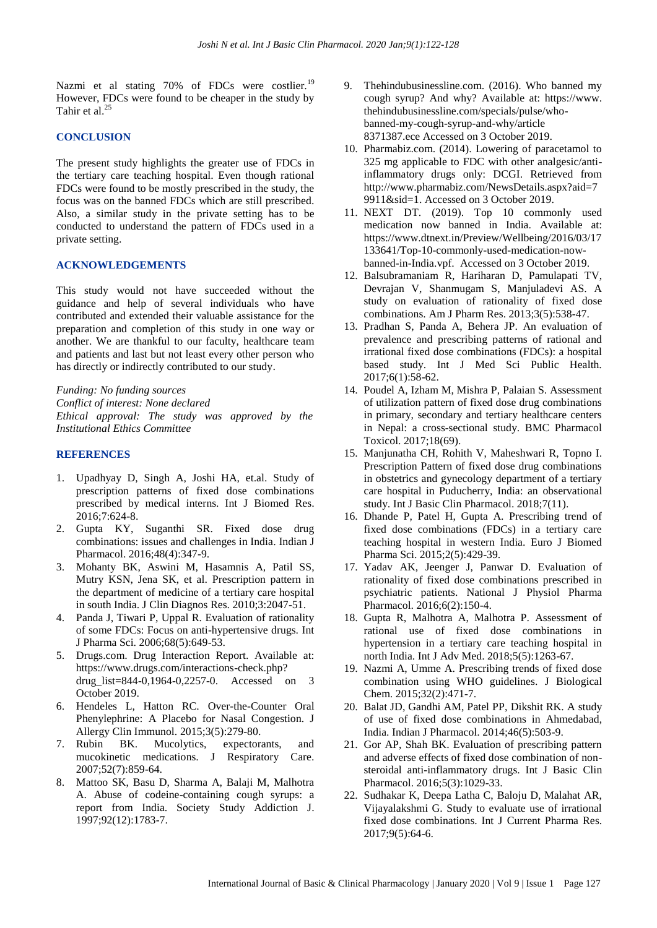Nazmi et al stating 70% of FDCs were costlier.<sup>19</sup> However, FDCs were found to be cheaper in the study by Tahir et al.<sup>25</sup>

#### **CONCLUSION**

The present study highlights the greater use of FDCs in the tertiary care teaching hospital. Even though rational FDCs were found to be mostly prescribed in the study, the focus was on the banned FDCs which are still prescribed. Also, a similar study in the private setting has to be conducted to understand the pattern of FDCs used in a private setting.

#### **ACKNOWLEDGEMENTS**

*Institutional Ethics Committee*

This study would not have succeeded without the guidance and help of several individuals who have contributed and extended their valuable assistance for the preparation and completion of this study in one way or another. We are thankful to our faculty, healthcare team and patients and last but not least every other person who has directly or indirectly contributed to our study.

*Funding: No funding sources Conflict of interest: None declared Ethical approval: The study was approved by the*

### **REFERENCES**

- 1. Upadhyay D, Singh A, Joshi HA, et.al. Study of prescription patterns of fixed dose combinations prescribed by medical interns. Int J Biomed Res. 2016;7:624-8.
- 2. Gupta KY, Suganthi SR. Fixed dose drug combinations: issues and challenges in India. Indian J Pharmacol. 2016;48(4):347-9.
- 3. Mohanty BK, Aswini M, Hasamnis A, Patil SS, Mutry KSN, Jena SK, et al. Prescription pattern in the department of medicine of a tertiary care hospital in south India. J Clin Diagnos Res. 2010;3:2047-51.
- 4. Panda J, Tiwari P, Uppal R. Evaluation of rationality of some FDCs: Focus on anti-hypertensive drugs. Int J Pharma Sci. 2006;68(5):649-53.
- 5. Drugs.com. Drug Interaction Report. Available at: https://www.drugs.com/interactions-check.php? drug\_list=844-0,1964-0,2257-0. Accessed on 3 October 2019.
- 6. Hendeles L, Hatton RC. Over-the-Counter Oral Phenylephrine: A Placebo for Nasal Congestion. J Allergy Clin Immunol. 2015;3(5):279-80.
- 7. Rubin BK. Mucolytics, expectorants, and mucokinetic medications. J Respiratory Care. 2007;52(7):859-64.
- 8. Mattoo SK, Basu D, Sharma A, Balaji M, Malhotra A. Abuse of codeine-containing cough syrups: a report from India. Society Study Addiction J. 1997;92(12):1783-7.
- 9. Thehindubusinessline.com. (2016). Who banned my cough syrup? And why? Available at: https://www. thehindubusinessline.com/specials/pulse/whobanned-my-cough-syrup-and-why/article 8371387.ece Accessed on 3 October 2019.
- 10. Pharmabiz.com. (2014). Lowering of paracetamol to 325 mg applicable to FDC with other analgesic/antiinflammatory drugs only: DCGI. Retrieved from http://www.pharmabiz.com/NewsDetails.aspx?aid=7 9911&sid=1. Accessed on 3 October 2019.
- 11. NEXT DT. (2019). Top 10 commonly used medication now banned in India. Available at: https://www.dtnext.in/Preview/Wellbeing/2016/03/17 133641/Top-10-commonly-used-medication-nowbanned-in-India.vpf. Accessed on 3 October 2019.
- 12. Balsubramaniam R, Hariharan D, Pamulapati TV, Devrajan V, Shanmugam S, Manjuladevi AS. A study on evaluation of rationality of fixed dose combinations. Am J Pharm Res. 2013;3(5):538-47.
- 13. Pradhan S, Panda A, Behera JP. An evaluation of prevalence and prescribing patterns of rational and irrational fixed dose combinations (FDCs): a hospital based study. Int J Med Sci Public Health. 2017;6(1):58-62.
- 14. Poudel A, Izham M, Mishra P, Palaian S. Assessment of utilization pattern of fixed dose drug combinations in primary, secondary and tertiary healthcare centers in Nepal: a cross-sectional study. BMC Pharmacol Toxicol. 2017;18(69).
- 15. Manjunatha CH, Rohith V, Maheshwari R, Topno I. Prescription Pattern of fixed dose drug combinations in obstetrics and gynecology department of a tertiary care hospital in Puducherry, India: an observational study. Int J Basic Clin Pharmacol. 2018;7(11).
- 16. Dhande P, Patel H, Gupta A. Prescribing trend of fixed dose combinations (FDCs) in a tertiary care teaching hospital in western India. Euro J Biomed Pharma Sci. 2015;2(5):429-39.
- 17. Yadav AK, Jeenger J, Panwar D. Evaluation of rationality of fixed dose combinations prescribed in psychiatric patients. National J Physiol Pharma Pharmacol. 2016;6(2):150-4.
- 18. Gupta R, Malhotra A, Malhotra P. Assessment of rational use of fixed dose combinations in hypertension in a tertiary care teaching hospital in north India. Int J Adv Med. 2018;5(5):1263-67.
- 19. Nazmi A, Umme A. Prescribing trends of fixed dose combination using WHO guidelines. J Biological Chem. 2015;32(2):471-7.
- 20. Balat JD, Gandhi AM, Patel PP, Dikshit RK. A study of use of fixed dose combinations in Ahmedabad, India. Indian J Pharmacol. 2014;46(5):503-9.
- 21. Gor AP, Shah BK. Evaluation of prescribing pattern and adverse effects of fixed dose combination of nonsteroidal anti-inflammatory drugs. Int J Basic Clin Pharmacol. 2016;5(3):1029-33.
- 22. Sudhakar K, Deepa Latha C, Baloju D, Malahat AR, Vijayalakshmi G. Study to evaluate use of irrational fixed dose combinations. Int J Current Pharma Res. 2017;9(5):64-6.